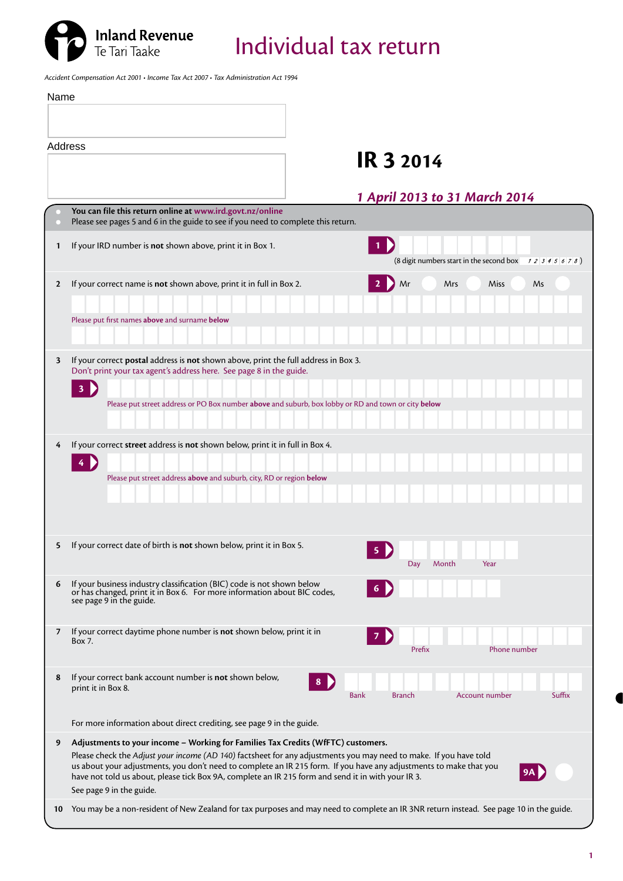

Individual tax return

*Accident Compensation Act 2001 • Income Tax Act 2007 • Tax Administration Act 1994*

| Name         |                                                                                                                                                                                                                                                      |
|--------------|------------------------------------------------------------------------------------------------------------------------------------------------------------------------------------------------------------------------------------------------------|
|              |                                                                                                                                                                                                                                                      |
|              | Address<br><b>IR 3 2014</b>                                                                                                                                                                                                                          |
|              | 1 April 2013 to 31 March 2014                                                                                                                                                                                                                        |
|              | You can file this return online at www.ird.govt.nz/online<br>Please see pages 5 and 6 in the guide to see if you need to complete this return.                                                                                                       |
| $\mathbf{1}$ | $\vert$ 1 $\vert$<br>If your IRD number is not shown above, print it in Box 1.<br>(8 digit numbers start in the second box $\begin{array}{c} 1234567 \\ 234567 \end{array}$ )                                                                        |
| $\mathbf{2}$ | If your correct name is not shown above, print it in full in Box 2.<br>Mr<br>Mrs<br>Miss<br>Ms                                                                                                                                                       |
|              |                                                                                                                                                                                                                                                      |
|              | Please put first names above and surname below                                                                                                                                                                                                       |
|              |                                                                                                                                                                                                                                                      |
| 3            | If your correct postal address is not shown above, print the full address in Box 3.<br>Don't print your tax agent's address here. See page 8 in the guide.                                                                                           |
|              | $\overline{\mathbf{3}}$                                                                                                                                                                                                                              |
|              | Please put street address or PO Box number above and suburb, box lobby or RD and town or city below                                                                                                                                                  |
|              |                                                                                                                                                                                                                                                      |
| 4            | If your correct street address is not shown below, print it in full in Box 4.<br>4                                                                                                                                                                   |
|              | Please put street address above and suburb, city, RD or region below                                                                                                                                                                                 |
|              |                                                                                                                                                                                                                                                      |
|              |                                                                                                                                                                                                                                                      |
| 5            | If your correct date of birth is not shown below, print it in Box 5.<br>5                                                                                                                                                                            |
|              | Month<br>Year<br>Day                                                                                                                                                                                                                                 |
| 6            | If your business industry classification (BIC) code is not shown below<br>or has changed, print it in Box 6. For more information about BIC codes,<br>see page 9 in the guide.                                                                       |
| 7            | If your correct daytime phone number is not shown below, print it in                                                                                                                                                                                 |
|              | Box 7.<br>Prefix<br>Phone number                                                                                                                                                                                                                     |
|              | If your correct bank account number is not shown below,                                                                                                                                                                                              |
| 8            | 8<br>print it in Box 8.<br><b>Branch</b><br>Account number<br>Suffix<br>Bank                                                                                                                                                                         |
|              |                                                                                                                                                                                                                                                      |
|              | For more information about direct crediting, see page 9 in the guide.                                                                                                                                                                                |
| 9            | Adjustments to your income - Working for Families Tax Credits (WfFTC) customers.<br>Please check the Adjust your income (AD 140) factsheet for any adjustments you may need to make. If you have told                                                |
|              | us about your adjustments, you don't need to complete an IR 215 form. If you have any adjustments to make that you<br>have not told us about, please tick Box 9A, complete an IR 215 form and send it in with your IR 3.<br>See page 9 in the guide. |
| 10           | You may be a non-resident of New Zealand for tax purposes and may need to complete an IR 3NR return instead. See page 10 in the guide.                                                                                                               |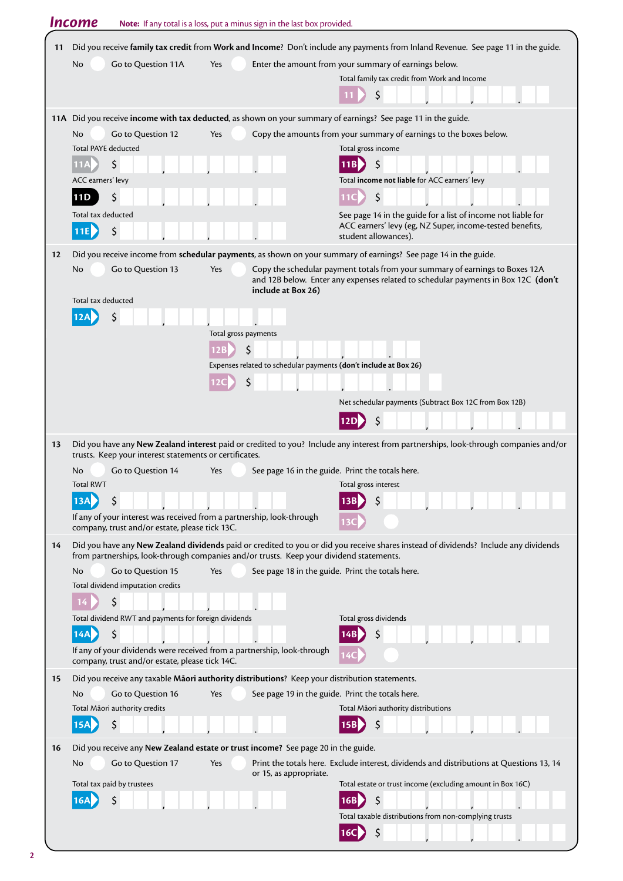|    | <b>Income</b>                                                                                                           | Note: If any total is a loss, put a minus sign in the last box provided. |                                                                                                                                                                                                 |
|----|-------------------------------------------------------------------------------------------------------------------------|--------------------------------------------------------------------------|-------------------------------------------------------------------------------------------------------------------------------------------------------------------------------------------------|
| 11 |                                                                                                                         |                                                                          | Did you receive family tax credit from Work and Income? Don't include any payments from Inland Revenue. See page 11 in the guide.                                                               |
|    | Go to Question 11A<br>No                                                                                                | Yes                                                                      | Enter the amount from your summary of earnings below.                                                                                                                                           |
|    |                                                                                                                         |                                                                          | Total family tax credit from Work and Income                                                                                                                                                    |
|    |                                                                                                                         |                                                                          | \$                                                                                                                                                                                              |
|    |                                                                                                                         |                                                                          |                                                                                                                                                                                                 |
|    | Go to Question 12<br>No                                                                                                 | Yes                                                                      | 11A Did you receive income with tax deducted, as shown on your summary of earnings? See page 11 in the guide.<br>Copy the amounts from your summary of earnings to the boxes below.             |
|    | <b>Total PAYE deducted</b>                                                                                              |                                                                          | Total gross income                                                                                                                                                                              |
|    | \$                                                                                                                      |                                                                          | \$                                                                                                                                                                                              |
|    | ACC earners' levy                                                                                                       |                                                                          | Total income not liable for ACC earners' levy                                                                                                                                                   |
|    | \$<br>11D                                                                                                               |                                                                          | \$                                                                                                                                                                                              |
|    | Total tax deducted                                                                                                      |                                                                          | See page 14 in the guide for a list of income not liable for                                                                                                                                    |
|    | \$<br>11E                                                                                                               |                                                                          | ACC earners' levy (eg, NZ Super, income-tested benefits,                                                                                                                                        |
|    |                                                                                                                         |                                                                          | student allowances).                                                                                                                                                                            |
| 12 | Go to Question 13<br>No                                                                                                 | Yes                                                                      | Did you receive income from schedular payments, as shown on your summary of earnings? See page 14 in the guide.<br>Copy the schedular payment totals from your summary of earnings to Boxes 12A |
|    |                                                                                                                         | include at Box 26)                                                       | and 12B below. Enter any expenses related to schedular payments in Box 12C (don't                                                                                                               |
|    | Total tax deducted                                                                                                      |                                                                          |                                                                                                                                                                                                 |
|    | \$                                                                                                                      |                                                                          |                                                                                                                                                                                                 |
|    |                                                                                                                         | Total gross payments                                                     |                                                                                                                                                                                                 |
|    |                                                                                                                         | 12B<br>Expenses related to schedular payments (don't include at Box 26)  |                                                                                                                                                                                                 |
|    |                                                                                                                         | Ś                                                                        |                                                                                                                                                                                                 |
|    |                                                                                                                         |                                                                          |                                                                                                                                                                                                 |
|    |                                                                                                                         |                                                                          | Net schedular payments (Subtract Box 12C from Box 12B)                                                                                                                                          |
|    |                                                                                                                         |                                                                          | \$<br>12D                                                                                                                                                                                       |
| 13 | trusts. Keep your interest statements or certificates.                                                                  |                                                                          | Did you have any New Zealand interest paid or credited to you? Include any interest from partnerships, look-through companies and/or                                                            |
|    | Go to Question 14<br>No                                                                                                 | Yes                                                                      | See page 16 in the guide. Print the totals here.                                                                                                                                                |
|    | <b>Total RWT</b>                                                                                                        |                                                                          | Total gross interest                                                                                                                                                                            |
|    | \$<br>13A                                                                                                               |                                                                          |                                                                                                                                                                                                 |
|    | If any of your interest was received from a partnership, look-through<br>company, trust and/or estate, please tick 13C. |                                                                          |                                                                                                                                                                                                 |
| 14 | from partnerships, look-through companies and/or trusts. Keep your dividend statements.                                 |                                                                          | Did you have any New Zealand dividends paid or credited to you or did you receive shares instead of dividends? Include any dividends                                                            |
|    | Go to Question 15<br>No                                                                                                 | Yes                                                                      | See page 18 in the guide. Print the totals here.                                                                                                                                                |
|    | Total dividend imputation credits                                                                                       |                                                                          |                                                                                                                                                                                                 |
|    | \$                                                                                                                      |                                                                          |                                                                                                                                                                                                 |
|    | Total dividend RWT and payments for foreign dividends<br>14A                                                            |                                                                          | Total gross dividends                                                                                                                                                                           |
|    | \$<br>If any of your dividends were received from a partnership, look-through                                           |                                                                          | 14B                                                                                                                                                                                             |
|    | company, trust and/or estate, please tick 14C.                                                                          |                                                                          | 14C                                                                                                                                                                                             |
| 15 | Did you receive any taxable Maori authority distributions? Keep your distribution statements.                           |                                                                          |                                                                                                                                                                                                 |
|    | Go to Question 16<br>No<br>Total Māori authority credits                                                                | Yes                                                                      | See page 19 in the guide. Print the totals here.<br>Total Māori authority distributions                                                                                                         |
|    | \$                                                                                                                      |                                                                          |                                                                                                                                                                                                 |
|    |                                                                                                                         |                                                                          |                                                                                                                                                                                                 |
| 16 | Did you receive any New Zealand estate or trust income? See page 20 in the guide.                                       |                                                                          |                                                                                                                                                                                                 |
|    | Go to Question 17<br>No                                                                                                 | Yes<br>or 15, as appropriate.                                            | Print the totals here. Exclude interest, dividends and distributions at Questions 13, 14                                                                                                        |
|    | Total tax paid by trustees                                                                                              |                                                                          | Total estate or trust income (excluding amount in Box 16C)                                                                                                                                      |
|    | \$                                                                                                                      |                                                                          |                                                                                                                                                                                                 |
|    |                                                                                                                         |                                                                          | Total taxable distributions from non-complying trusts                                                                                                                                           |
|    |                                                                                                                         |                                                                          | Ŝ<br>16C                                                                                                                                                                                        |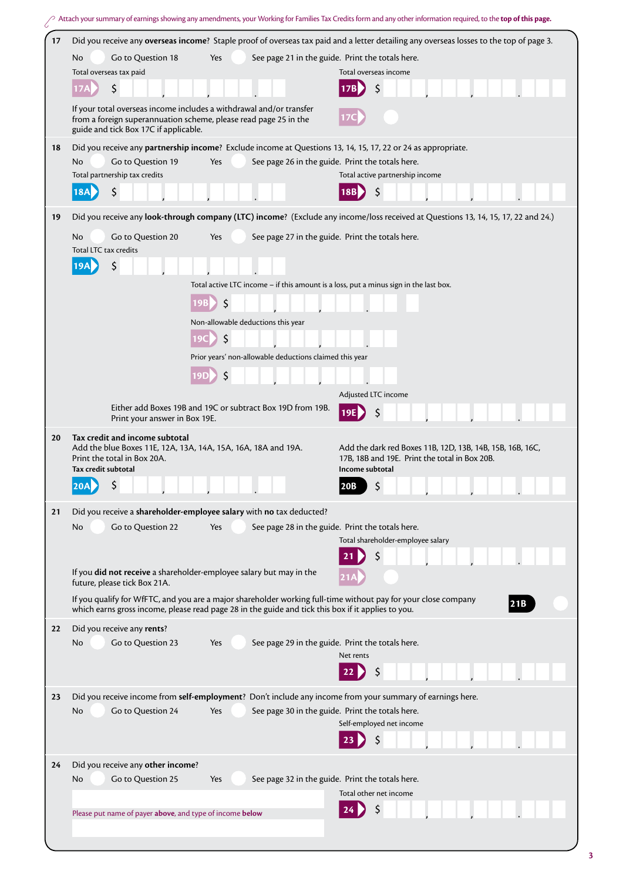|    | Attach your summary of earnings showing any amendments, your Working for Families Tax Credits form and any other information required, to the top of this page. |                                                                                                                                         |                                                                                                                                   |
|----|-----------------------------------------------------------------------------------------------------------------------------------------------------------------|-----------------------------------------------------------------------------------------------------------------------------------------|-----------------------------------------------------------------------------------------------------------------------------------|
| 17 | Did you receive any overseas income? Staple proof of overseas tax paid and a letter detailing any overseas losses to the top of page 3.                         |                                                                                                                                         |                                                                                                                                   |
|    | Go to Question 18<br>No                                                                                                                                         | Yes                                                                                                                                     | See page 21 in the guide. Print the totals here.                                                                                  |
|    | Total overseas tax paid                                                                                                                                         |                                                                                                                                         | Total overseas income                                                                                                             |
|    | \$                                                                                                                                                              |                                                                                                                                         | \$                                                                                                                                |
|    | guide and tick Box 17C if applicable.                                                                                                                           | If your total overseas income includes a withdrawal and/or transfer<br>from a foreign superannuation scheme, please read page 25 in the |                                                                                                                                   |
| 18 |                                                                                                                                                                 |                                                                                                                                         | Did you receive any partnership income? Exclude income at Questions 13, 14, 15, 17, 22 or 24 as appropriate.                      |
|    | Go to Question 19<br>No                                                                                                                                         | Yes                                                                                                                                     | See page 26 in the guide. Print the totals here.                                                                                  |
|    | Total partnership tax credits                                                                                                                                   |                                                                                                                                         | Total active partnership income                                                                                                   |
|    | \$<br>18A                                                                                                                                                       |                                                                                                                                         | \$                                                                                                                                |
| 19 |                                                                                                                                                                 |                                                                                                                                         | Did you receive any look-through company (LTC) income? (Exclude any income/loss received at Questions 13, 14, 15, 17, 22 and 24.) |
|    | Go to Question 20<br>No<br>Total LTC tax credits                                                                                                                | Yes                                                                                                                                     | See page 27 in the guide. Print the totals here.                                                                                  |
|    | \$                                                                                                                                                              |                                                                                                                                         |                                                                                                                                   |
|    |                                                                                                                                                                 | Total active LTC income - if this amount is a loss, put a minus sign in the last box.                                                   |                                                                                                                                   |
|    |                                                                                                                                                                 | \$                                                                                                                                      |                                                                                                                                   |
|    |                                                                                                                                                                 | Non-allowable deductions this year                                                                                                      |                                                                                                                                   |
|    |                                                                                                                                                                 | \$                                                                                                                                      |                                                                                                                                   |
|    |                                                                                                                                                                 | Prior years' non-allowable deductions claimed this year                                                                                 |                                                                                                                                   |
|    |                                                                                                                                                                 |                                                                                                                                         |                                                                                                                                   |
|    |                                                                                                                                                                 |                                                                                                                                         |                                                                                                                                   |
|    | Print your answer in Box 19E.                                                                                                                                   | Either add Boxes 19B and 19C or subtract Box 19D from 19B.                                                                              | Adjusted LTC income<br>19E                                                                                                        |
|    |                                                                                                                                                                 |                                                                                                                                         |                                                                                                                                   |
| 20 | Tax credit and income subtotal<br>Add the blue Boxes 11E, 12A, 13A, 14A, 15A, 16A, 18A and 19A.<br>Print the total in Box 20A.<br>Tax credit subtotal           |                                                                                                                                         | Add the dark red Boxes 11B, 12D, 13B, 14B, 15B, 16B, 16C,<br>17B, 18B and 19E. Print the total in Box 20B.<br>Income subtotal     |
|    | $20A$ \$                                                                                                                                                        |                                                                                                                                         | $\overline{ }$<br>20B                                                                                                             |
| 21 |                                                                                                                                                                 | Did you receive a shareholder-employee salary with no tax deducted?                                                                     |                                                                                                                                   |
|    | Go to Question 22<br>No                                                                                                                                         | Yes                                                                                                                                     | See page 28 in the guide. Print the totals here.                                                                                  |
|    |                                                                                                                                                                 |                                                                                                                                         | Total shareholder-employee salary                                                                                                 |
|    |                                                                                                                                                                 |                                                                                                                                         |                                                                                                                                   |
|    | future, please tick Box 21A.                                                                                                                                    | If you did not receive a shareholder-employee salary but may in the                                                                     |                                                                                                                                   |
|    |                                                                                                                                                                 | which earns gross income, please read page 28 in the guide and tick this box if it applies to you.                                      | If you qualify for WfFTC, and you are a major shareholder working full-time without pay for your close company<br>21B             |
| 22 | Did you receive any rents?                                                                                                                                      |                                                                                                                                         |                                                                                                                                   |
|    | Go to Question 23<br>No                                                                                                                                         | Yes                                                                                                                                     | See page 29 in the guide. Print the totals here.                                                                                  |
|    |                                                                                                                                                                 |                                                                                                                                         | Net rents                                                                                                                         |
|    |                                                                                                                                                                 |                                                                                                                                         |                                                                                                                                   |
| 23 |                                                                                                                                                                 |                                                                                                                                         | Did you receive income from self-employment? Don't include any income from your summary of earnings here.                         |
|    | Go to Question 24<br>No                                                                                                                                         | Yes                                                                                                                                     | See page 30 in the guide. Print the totals here.                                                                                  |
|    |                                                                                                                                                                 |                                                                                                                                         | Self-employed net income                                                                                                          |
|    |                                                                                                                                                                 |                                                                                                                                         |                                                                                                                                   |
| 24 | Did you receive any other income?                                                                                                                               |                                                                                                                                         |                                                                                                                                   |
|    | Go to Question 25<br>No                                                                                                                                         | Yes                                                                                                                                     | See page 32 in the guide. Print the totals here.                                                                                  |
|    |                                                                                                                                                                 |                                                                                                                                         | Total other net income                                                                                                            |
|    | Please put name of payer above, and type of income below                                                                                                        |                                                                                                                                         |                                                                                                                                   |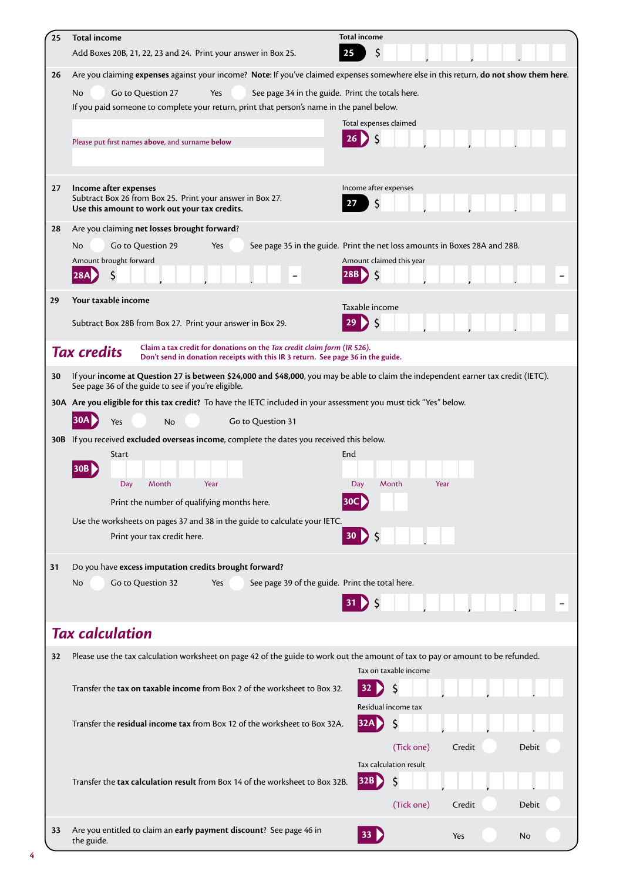| 25 | <b>Total income</b><br>Add Boxes 20B, 21, 22, 23 and 24. Print your answer in Box 25.                                                                                                     | <b>Total income</b><br>\$<br>25                                            |  |  |  |  |
|----|-------------------------------------------------------------------------------------------------------------------------------------------------------------------------------------------|----------------------------------------------------------------------------|--|--|--|--|
| 26 | Are you claiming expenses against your income? Note: If you've claimed expenses somewhere else in this return, do not show them here.                                                     |                                                                            |  |  |  |  |
|    | No<br>Go to Question 27<br>Yes<br>See page 34 in the guide. Print the totals here.                                                                                                        |                                                                            |  |  |  |  |
|    | If you paid someone to complete your return, print that person's name in the panel below.                                                                                                 |                                                                            |  |  |  |  |
|    |                                                                                                                                                                                           | Total expenses claimed                                                     |  |  |  |  |
|    | Please put first names above, and surname below                                                                                                                                           |                                                                            |  |  |  |  |
|    |                                                                                                                                                                                           |                                                                            |  |  |  |  |
| 27 | Income after expenses                                                                                                                                                                     | Income after expenses                                                      |  |  |  |  |
|    | Subtract Box 26 from Box 25. Print your answer in Box 27.<br>Use this amount to work out your tax credits.                                                                                | S<br>27                                                                    |  |  |  |  |
| 28 | Are you claiming net losses brought forward?                                                                                                                                              |                                                                            |  |  |  |  |
|    | Go to Question 29<br>No<br>Yes                                                                                                                                                            | See page 35 in the guide. Print the net loss amounts in Boxes 28A and 28B. |  |  |  |  |
|    | Amount brought forward                                                                                                                                                                    | Amount claimed this year                                                   |  |  |  |  |
|    | <b>28A</b>                                                                                                                                                                                | $\zeta$<br>28B D                                                           |  |  |  |  |
| 29 | Your taxable income                                                                                                                                                                       |                                                                            |  |  |  |  |
|    | Subtract Box 28B from Box 27. Print your answer in Box 29.                                                                                                                                | Taxable income<br>29<br>-S                                                 |  |  |  |  |
|    |                                                                                                                                                                                           |                                                                            |  |  |  |  |
|    | Claim a tax credit for donations on the Tax credit claim form (IR 526).<br><b>Tax credits</b><br>Don't send in donation receipts with this IR 3 return. See page 36 in the guide.         |                                                                            |  |  |  |  |
| 30 | If your income at Question 27 is between \$24,000 and \$48,000, you may be able to claim the independent earner tax credit (IETC).<br>See page 36 of the guide to see if you're eligible. |                                                                            |  |  |  |  |
|    | 30A Are you eligible for this tax credit? To have the IETC included in your assessment you must tick "Yes" below.                                                                         |                                                                            |  |  |  |  |
|    | 30A)<br>Go to Question 31<br>Yes<br><b>No</b>                                                                                                                                             |                                                                            |  |  |  |  |
|    | 30B If you received excluded overseas income, complete the dates you received this below.                                                                                                 |                                                                            |  |  |  |  |
|    | Start                                                                                                                                                                                     | End                                                                        |  |  |  |  |
|    | <b>30B</b>                                                                                                                                                                                |                                                                            |  |  |  |  |
|    | Year<br>Day<br>Month                                                                                                                                                                      | Day<br>Month<br>Year<br>30C)                                               |  |  |  |  |
|    | Print the number of qualifying months here.<br>Use the worksheets on pages 37 and 38 in the guide to calculate your IETC.                                                                 |                                                                            |  |  |  |  |
|    | Print your tax credit here.                                                                                                                                                               | $30$ $\left\{5\right\}$                                                    |  |  |  |  |
|    |                                                                                                                                                                                           |                                                                            |  |  |  |  |
| 31 | Do you have excess imputation credits brought forward?                                                                                                                                    |                                                                            |  |  |  |  |
|    | Go to Question 32<br>See page 39 of the guide. Print the total here.<br>No<br>Yes                                                                                                         |                                                                            |  |  |  |  |
|    |                                                                                                                                                                                           |                                                                            |  |  |  |  |
|    | <b>Tax calculation</b>                                                                                                                                                                    |                                                                            |  |  |  |  |
|    |                                                                                                                                                                                           |                                                                            |  |  |  |  |
| 32 | Please use the tax calculation worksheet on page 42 of the guide to work out the amount of tax to pay or amount to be refunded.                                                           | Tax on taxable income                                                      |  |  |  |  |
|    | Transfer the tax on taxable income from Box 2 of the worksheet to Box 32.                                                                                                                 | \$<br>32                                                                   |  |  |  |  |
|    |                                                                                                                                                                                           | Residual income tax                                                        |  |  |  |  |
|    | Transfer the residual income tax from Box 12 of the worksheet to Box 32A.                                                                                                                 | \$<br>32A                                                                  |  |  |  |  |
|    |                                                                                                                                                                                           | (Tick one)<br>Credit<br><b>Debit</b>                                       |  |  |  |  |
|    |                                                                                                                                                                                           | Tax calculation result                                                     |  |  |  |  |
|    | Transfer the tax calculation result from Box 14 of the worksheet to Box 32B.                                                                                                              | 32B <br>S                                                                  |  |  |  |  |
|    |                                                                                                                                                                                           |                                                                            |  |  |  |  |
|    |                                                                                                                                                                                           | (Tick one)<br>Credit<br>Debit                                              |  |  |  |  |
| 33 | Are you entitled to claim an early payment discount? See page 46 in<br>the guide.                                                                                                         | 33 <sub>1</sub><br>Yes<br>No                                               |  |  |  |  |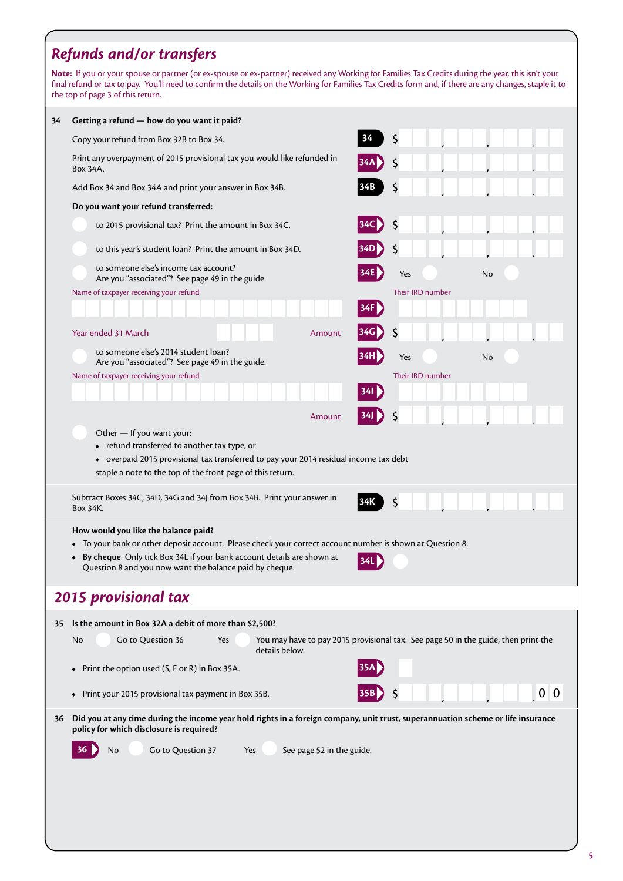## *Refunds and/or transfers*

**Note:** If you or your spouse or partner (or ex-spouse or ex-partner) received any Working for Families Tax Credits during the year, this isn't your final refund or tax to pay. You'll need to confirm the details on the Working for Families Tax Credits form and, if there are any changes, staple it to the top of page 3 of this return.

| 34 | Getting a refund - how do you want it paid?                                                                                                                                  |                           |       |                                                                                    |                |  |
|----|------------------------------------------------------------------------------------------------------------------------------------------------------------------------------|---------------------------|-------|------------------------------------------------------------------------------------|----------------|--|
|    | Copy your refund from Box 32B to Box 34.                                                                                                                                     |                           | 34    | \$                                                                                 |                |  |
|    | Print any overpayment of 2015 provisional tax you would like refunded in<br>Box 34A.                                                                                         |                           |       | \$                                                                                 |                |  |
|    | Add Box 34 and Box 34A and print your answer in Box 34B.                                                                                                                     |                           |       | \$                                                                                 |                |  |
|    | Do you want your refund transferred:                                                                                                                                         |                           |       |                                                                                    |                |  |
|    | to 2015 provisional tax? Print the amount in Box 34C.                                                                                                                        |                           |       | \$                                                                                 |                |  |
|    | to this year's student loan? Print the amount in Box 34D.                                                                                                                    |                           |       | \$                                                                                 |                |  |
|    | to someone else's income tax account?<br>Are you "associated"? See page 49 in the guide.                                                                                     |                           |       | Yes                                                                                | No             |  |
|    | Name of taxpayer receiving your refund                                                                                                                                       |                           |       | Their IRD number                                                                   |                |  |
|    |                                                                                                                                                                              |                           | 34F   |                                                                                    |                |  |
|    | Year ended 31 March                                                                                                                                                          | Amount                    | 34G   | S                                                                                  |                |  |
|    | to someone else's 2014 student loan?<br>Are you "associated"? See page 49 in the guide.                                                                                      |                           |       | Yes                                                                                | No             |  |
|    | Name of taxpayer receiving your refund                                                                                                                                       |                           |       | Their IRD number                                                                   |                |  |
|    |                                                                                                                                                                              |                           | 34I D |                                                                                    |                |  |
|    |                                                                                                                                                                              | Amount                    |       | \$                                                                                 |                |  |
|    | Other - If you want your:                                                                                                                                                    |                           |       |                                                                                    |                |  |
|    | • refund transferred to another tax type, or                                                                                                                                 |                           |       |                                                                                    |                |  |
|    | • overpaid 2015 provisional tax transferred to pay your 2014 residual income tax debt                                                                                        |                           |       |                                                                                    |                |  |
|    | staple a note to the top of the front page of this return.                                                                                                                   |                           |       |                                                                                    |                |  |
|    | Subtract Boxes 34C, 34D, 34G and 34J from Box 34B. Print your answer in<br>Box 34K.                                                                                          |                           | 34K   | \$                                                                                 |                |  |
|    | How would you like the balance paid?                                                                                                                                         |                           |       |                                                                                    |                |  |
|    | To your bank or other deposit account. Please check your correct account number is shown at Question 8.                                                                      |                           |       |                                                                                    |                |  |
|    | By cheque Only tick Box 34L if your bank account details are shown at<br>$\bullet$<br>Question 8 and you now want the balance paid by cheque.                                |                           | 34L   |                                                                                    |                |  |
|    |                                                                                                                                                                              |                           |       |                                                                                    |                |  |
|    | <b>2015 provisional tax</b>                                                                                                                                                  |                           |       |                                                                                    |                |  |
| 35 | Is the amount in Box 32A a debit of more than \$2,500?                                                                                                                       |                           |       |                                                                                    |                |  |
|    | Go to Question 36<br>No<br>Yes<br>details below.                                                                                                                             |                           |       | You may have to pay 2015 provisional tax. See page 50 in the guide, then print the |                |  |
|    | Print the option used (S, E or R) in Box 35A.<br>$\bullet$                                                                                                                   |                           |       |                                                                                    |                |  |
|    | Print your 2015 provisional tax payment in Box 35B.<br>$\bullet$                                                                                                             |                           |       |                                                                                    | 0 <sub>0</sub> |  |
| 36 | Did you at any time during the income year hold rights in a foreign company, unit trust, superannuation scheme or life insurance<br>policy for which disclosure is required? |                           |       |                                                                                    |                |  |
|    | Go to Question 37<br>No<br>Yes                                                                                                                                               | See page 52 in the guide. |       |                                                                                    |                |  |
|    |                                                                                                                                                                              |                           |       |                                                                                    |                |  |
|    |                                                                                                                                                                              |                           |       |                                                                                    |                |  |
|    |                                                                                                                                                                              |                           |       |                                                                                    |                |  |
|    |                                                                                                                                                                              |                           |       |                                                                                    |                |  |